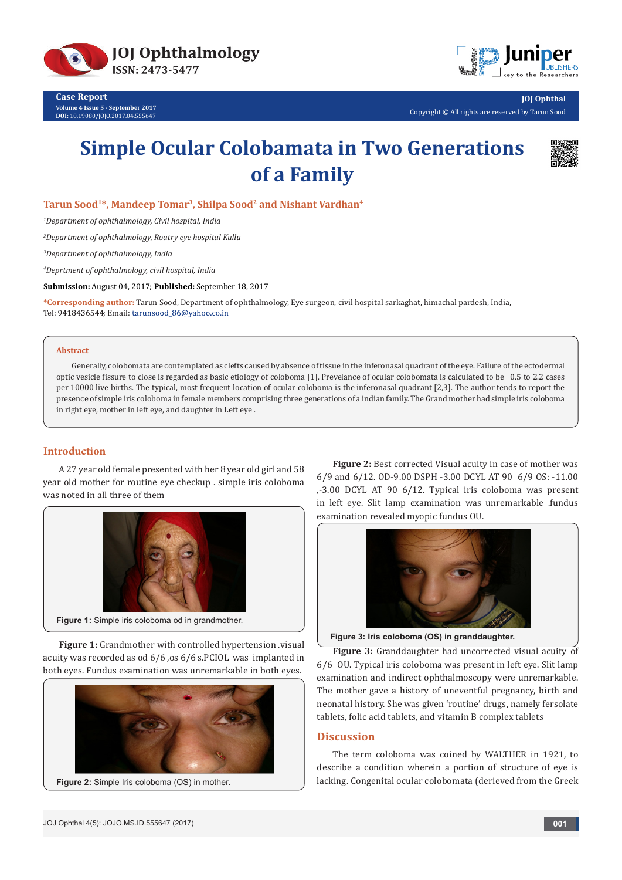

**Case Report Volume 4 Issue 5 - September 2017 DOI:** [10.19080/JOJO.2017.04.555647](http://dx.doi.org/10.19080/JOJO.2017.04.555647)



**JOJ Ophthal** Copyright © All rights are reserved by Tarun Sood

# **Simple Ocular Colobamata in Two Generations of a Family**



Tarun Sood<sup>1\*</sup>, Mandeep Tomar<sup>3</sup>, Shilpa Sood<sup>2</sup> and Nishant Vardhan<sup>4</sup>

*1 Department of ophthalmology, Civil hospital, India*

*2 Department of ophthalmology, Roatry eye hospital Kullu* 

*3 Department of ophthalmology, India*

*4 Deprtment of ophthalmology, civil hospital, India*

**Submission:** August 04, 2017; **Published:** September 18, 2017

**\*Corresponding author:** Tarun Sood, Department of ophthalmology, Eye surgeon, civil hospital sarkaghat, himachal pardesh, India, Tel: 9418436544; Email: tarunsood\_86@yahoo.co.in

#### **Abstract**

Generally, colobomata are contemplated as clefts caused by absence of tissue in the inferonasal quadrant of the eye. Failure of the ectodermal optic vesicle fissure to close is regarded as basic etiology of coloboma [1]. Prevelance of ocular colobomata is calculated to be 0.5 to 2.2 cases per 10000 live births. The typical, most frequent location of ocular coloboma is the inferonasal quadrant [2,3]. The author tends to report the presence of simple iris coloboma in female members comprising three generations of a indian family. The Grand mother had simple iris coloboma in right eye, mother in left eye, and daughter in Left eye .

## **Introduction**

A 27 year old female presented with her 8 year old girl and 58 year old mother for routine eye checkup . simple iris coloboma was noted in all three of them



**Figure 1:** Grandmother with controlled hypertension .visual acuity was recorded as od 6/6 ,os 6/6 s.PCIOL was implanted in both eyes. Fundus examination was unremarkable in both eyes.



**Figure 2:** Best corrected Visual acuity in case of mother was 6/9 and 6/12. OD-9.00 DSPH -3.00 DCYL AT 90 6/9 OS: -11.00 ,-3.00 DCYL AT 90 6/12. Typical iris coloboma was present in left eye. Slit lamp examination was unremarkable .fundus examination revealed myopic fundus OU.



**Figure 3: Iris coloboma (OS) in granddaughter.**

**Figure 3:** Granddaughter had uncorrected visual acuity of 6/6 OU. Typical iris coloboma was present in left eye. Slit lamp examination and indirect ophthalmoscopy were unremarkable. The mother gave a history of uneventful pregnancy, birth and neonatal history. She was given 'routine' drugs, namely fersolate tablets, folic acid tablets, and vitamin B complex tablets

## **Discussion**

The term coloboma was coined by WALTHER in 1921, to describe a condition wherein a portion of structure of eye is lacking. Congenital ocular colobomata (derieved from the Greek